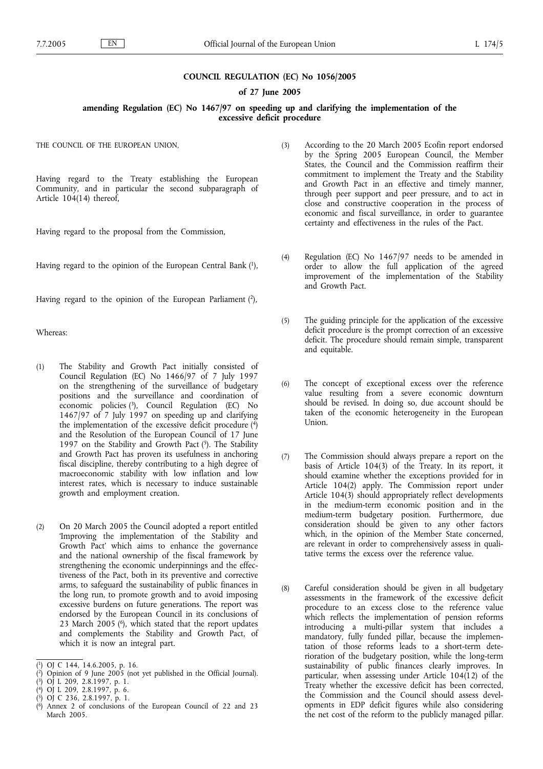### **COUNCIL REGULATION (EC) No 1056/2005**

### **of 27 June 2005**

#### **amending Regulation (EC) No 1467/97 on speeding up and clarifying the implementation of the excessive deficit procedure**

THE COUNCIL OF THE EUROPEAN UNION,

Having regard to the Treaty establishing the European Community, and in particular the second subparagraph of Article 104(14) thereof,

Having regard to the proposal from the Commission,

Having regard to the opinion of the European Central Bank (1),

Having regard to the opinion of the European Parliament  $(2)$ ,

Whereas:

- (1) The Stability and Growth Pact initially consisted of Council Regulation (EC) No 1466/97 of 7 July 1997 on the strengthening of the surveillance of budgetary positions and the surveillance and coordination of economic policies (3), Council Regulation (EC) No 1467/97 of 7 July 1997 on speeding up and clarifying the implementation of the excessive deficit procedure  $\binom{4}{3}$ and the Resolution of the European Council of 17 June 1997 on the Stability and Growth Pact  $(5)$ . The Stability and Growth Pact has proven its usefulness in anchoring fiscal discipline, thereby contributing to a high degree of macroeconomic stability with low inflation and low interest rates, which is necessary to induce sustainable growth and employment creation.
- (2) On 20 March 2005 the Council adopted a report entitled 'Improving the implementation of the Stability and Growth Pact' which aims to enhance the governance and the national ownership of the fiscal framework by strengthening the economic underpinnings and the effectiveness of the Pact, both in its preventive and corrective arms, to safeguard the sustainability of public finances in the long run, to promote growth and to avoid imposing excessive burdens on future generations. The report was endorsed by the European Council in its conclusions of 23 March  $2005$  ( $^{6}$ ), which stated that the report updates and complements the Stability and Growth Pact, of which it is now an integral part.
- (3) According to the 20 March 2005 Ecofin report endorsed by the Spring 2005 European Council, the Member States, the Council and the Commission reaffirm their commitment to implement the Treaty and the Stability and Growth Pact in an effective and timely manner, through peer support and peer pressure, and to act in close and constructive cooperation in the process of economic and fiscal surveillance, in order to guarantee certainty and effectiveness in the rules of the Pact.
- (4) Regulation (EC) No 1467/97 needs to be amended in order to allow the full application of the agreed improvement of the implementation of the Stability and Growth Pact.
- (5) The guiding principle for the application of the excessive deficit procedure is the prompt correction of an excessive deficit. The procedure should remain simple, transparent and equitable.
- (6) The concept of exceptional excess over the reference value resulting from a severe economic downturn should be revised. In doing so, due account should be taken of the economic heterogeneity in the European Union.
- (7) The Commission should always prepare a report on the basis of Article 104(3) of the Treaty. In its report, it should examine whether the exceptions provided for in Article 104(2) apply. The Commission report under Article 104(3) should appropriately reflect developments in the medium-term economic position and in the medium-term budgetary position. Furthermore, due consideration should be given to any other factors which, in the opinion of the Member State concerned, are relevant in order to comprehensively assess in qualitative terms the excess over the reference value.
- (8) Careful consideration should be given in all budgetary assessments in the framework of the excessive deficit procedure to an excess close to the reference value which reflects the implementation of pension reforms introducing a multi-pillar system that includes a mandatory, fully funded pillar, because the implementation of those reforms leads to a short-term deterioration of the budgetary position, while the long-term sustainability of public finances clearly improves. In particular, when assessing under Article  $104(12)$  of the Treaty whether the excessive deficit has been corrected, the Commission and the Council should assess developments in EDP deficit figures while also considering the net cost of the reform to the publicly managed pillar.

<sup>(</sup> 1) OJ C 144, 14.6.2005, p. 16.

<sup>(</sup> 2) Opinion of 9 June 2005 (not yet published in the Official Journal).

<sup>(</sup> 3) OJ L 209, 2.8.1997, p. 1.

<sup>(</sup> 4) OJ L 209, 2.8.1997, p. 6.

<sup>(</sup> 5) OJ C 236, 2.8.1997, p. 1.

<sup>(</sup> 6) Annex 2 of conclusions of the European Council of 22 and 23 March 2005.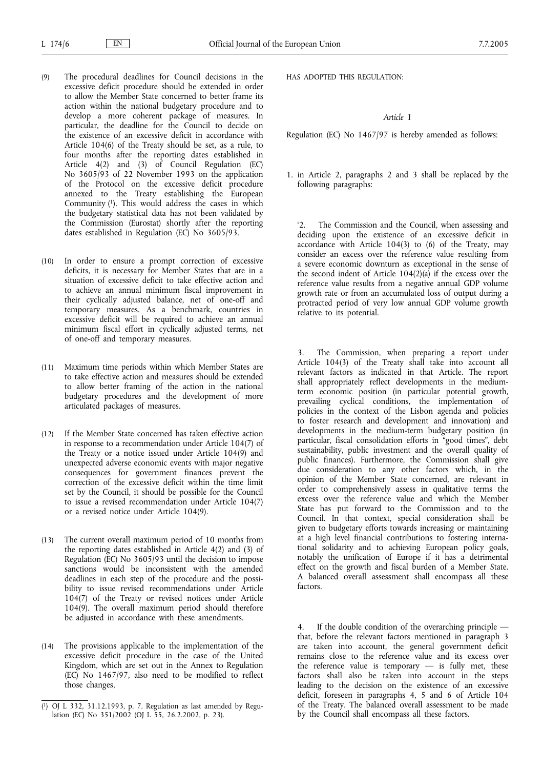- (9) The procedural deadlines for Council decisions in the excessive deficit procedure should be extended in order to allow the Member State concerned to better frame its action within the national budgetary procedure and to develop a more coherent package of measures. In particular, the deadline for the Council to decide on the existence of an excessive deficit in accordance with Article 104(6) of the Treaty should be set, as a rule, to four months after the reporting dates established in Article 4(2) and (3) of Council Regulation (EC) No 3605/93 of 22 November 1993 on the application of the Protocol on the excessive deficit procedure annexed to the Treaty establishing the European Community (1). This would address the cases in which the budgetary statistical data has not been validated by the Commission (Eurostat) shortly after the reporting dates established in Regulation (EC) No 3605/93.
- (10) In order to ensure a prompt correction of excessive deficits, it is necessary for Member States that are in a situation of excessive deficit to take effective action and to achieve an annual minimum fiscal improvement in their cyclically adjusted balance, net of one-off and temporary measures. As a benchmark, countries in excessive deficit will be required to achieve an annual minimum fiscal effort in cyclically adjusted terms, net of one-off and temporary measures.
- (11) Maximum time periods within which Member States are to take effective action and measures should be extended to allow better framing of the action in the national budgetary procedures and the development of more articulated packages of measures.
- (12) If the Member State concerned has taken effective action in response to a recommendation under Article 104(7) of the Treaty or a notice issued under Article 104(9) and unexpected adverse economic events with major negative consequences for government finances prevent the correction of the excessive deficit within the time limit set by the Council, it should be possible for the Council to issue a revised recommendation under Article 104(7) or a revised notice under Article 104(9).
- (13) The current overall maximum period of 10 months from the reporting dates established in Article 4(2) and (3) of Regulation (EC) No 3605/93 until the decision to impose sanctions would be inconsistent with the amended deadlines in each step of the procedure and the possibility to issue revised recommendations under Article 104(7) of the Treaty or revised notices under Article 104(9). The overall maximum period should therefore be adjusted in accordance with these amendments.
- (14) The provisions applicable to the implementation of the excessive deficit procedure in the case of the United Kingdom, which are set out in the Annex to Regulation (EC) No 1467/97, also need to be modified to reflect those changes,

HAS ADOPTED THIS REGULATION:

### *Article 1*

Regulation (EC) No 1467/97 is hereby amended as follows:

1. in Article 2, paragraphs 2 and 3 shall be replaced by the following paragraphs:

The Commission and the Council, when assessing and deciding upon the existence of an excessive deficit in accordance with Article 104(3) to (6) of the Treaty, may consider an excess over the reference value resulting from a severe economic downturn as exceptional in the sense of the second indent of Article  $104(2)(a)$  if the excess over the reference value results from a negative annual GDP volume growth rate or from an accumulated loss of output during a protracted period of very low annual GDP volume growth relative to its potential.

3. The Commission, when preparing a report under Article 104(3) of the Treaty shall take into account all relevant factors as indicated in that Article. The report shall appropriately reflect developments in the mediumterm economic position (in particular potential growth, prevailing cyclical conditions, the implementation of policies in the context of the Lisbon agenda and policies to foster research and development and innovation) and developments in the medium-term budgetary position (in particular, fiscal consolidation efforts in "good times", debt sustainability, public investment and the overall quality of public finances). Furthermore, the Commission shall give due consideration to any other factors which, in the opinion of the Member State concerned, are relevant in order to comprehensively assess in qualitative terms the excess over the reference value and which the Member State has put forward to the Commission and to the Council. In that context, special consideration shall be given to budgetary efforts towards increasing or maintaining at a high level financial contributions to fostering international solidarity and to achieving European policy goals, notably the unification of Europe if it has a detrimental effect on the growth and fiscal burden of a Member State. A balanced overall assessment shall encompass all these factors.

4. If the double condition of the overarching principle that, before the relevant factors mentioned in paragraph 3 are taken into account, the general government deficit remains close to the reference value and its excess over the reference value is temporary  $-$  is fully met, these factors shall also be taken into account in the steps leading to the decision on the existence of an excessive deficit, foreseen in paragraphs 4, 5 and 6 of Article 104 of the Treaty. The balanced overall assessment to be made by the Council shall encompass all these factors.

<sup>(</sup> 1) OJ L 332, 31.12.1993, p. 7. Regulation as last amended by Regulation (EC) No 351/2002 (OJ L 55, 26.2.2002, p. 23).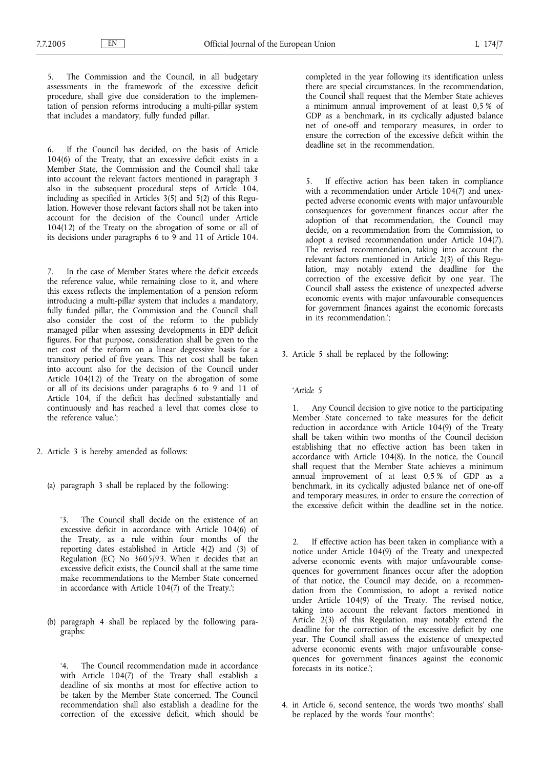The Commission and the Council, in all budgetary assessments in the framework of the excessive deficit procedure, shall give due consideration to the implementation of pension reforms introducing a multi-pillar system that includes a mandatory, fully funded pillar.

6. If the Council has decided, on the basis of Article 104(6) of the Treaty, that an excessive deficit exists in a Member State, the Commission and the Council shall take into account the relevant factors mentioned in paragraph 3 also in the subsequent procedural steps of Article 104, including as specified in Articles  $3(5)$  and  $5(2)$  of this Regulation. However those relevant factors shall not be taken into account for the decision of the Council under Article 104(12) of the Treaty on the abrogation of some or all of its decisions under paragraphs 6 to 9 and 11 of Article 104.

7. In the case of Member States where the deficit exceeds the reference value, while remaining close to it, and where this excess reflects the implementation of a pension reform introducing a multi-pillar system that includes a mandatory, fully funded pillar, the Commission and the Council shall also consider the cost of the reform to the publicly managed pillar when assessing developments in EDP deficit figures. For that purpose, consideration shall be given to the net cost of the reform on a linear degressive basis for a transitory period of five years. This net cost shall be taken into account also for the decision of the Council under Article 104(12) of the Treaty on the abrogation of some or all of its decisions under paragraphs 6 to 9 and 11 of Article 104, if the deficit has declined substantially and continuously and has reached a level that comes close to the reference value.';

- 2. Article 3 is hereby amended as follows:
	- (a) paragraph 3 shall be replaced by the following:

'3. The Council shall decide on the existence of an excessive deficit in accordance with Article 104(6) of the Treaty, as a rule within four months of the reporting dates established in Article 4(2) and (3) of Regulation (EC) No 3605/93. When it decides that an excessive deficit exists, the Council shall at the same time make recommendations to the Member State concerned in accordance with Article 104(7) of the Treaty.';

(b) paragraph 4 shall be replaced by the following paragraphs:

'4. The Council recommendation made in accordance with Article 104(7) of the Treaty shall establish a deadline of six months at most for effective action to be taken by the Member State concerned. The Council recommendation shall also establish a deadline for the correction of the excessive deficit, which should be completed in the year following its identification unless there are special circumstances. In the recommendation, the Council shall request that the Member State achieves a minimum annual improvement of at least 0,5 % of GDP as a benchmark, in its cyclically adjusted balance net of one-off and temporary measures, in order to ensure the correction of the excessive deficit within the deadline set in the recommendation.

5. If effective action has been taken in compliance with a recommendation under Article 104(7) and unexpected adverse economic events with major unfavourable consequences for government finances occur after the adoption of that recommendation, the Council may decide, on a recommendation from the Commission, to adopt a revised recommendation under Article 104(7). The revised recommendation, taking into account the relevant factors mentioned in Article 2(3) of this Regulation, may notably extend the deadline for the correction of the excessive deficit by one year. The Council shall assess the existence of unexpected adverse economic events with major unfavourable consequences for government finances against the economic forecasts in its recommendation.';

3. Article 5 shall be replaced by the following:

#### *'Article 5*

1. Any Council decision to give notice to the participating Member State concerned to take measures for the deficit reduction in accordance with Article 104(9) of the Treaty shall be taken within two months of the Council decision establishing that no effective action has been taken in accordance with Article 104(8). In the notice, the Council shall request that the Member State achieves a minimum annual improvement of at least 0,5 % of GDP as a benchmark, in its cyclically adjusted balance net of one-off and temporary measures, in order to ensure the correction of the excessive deficit within the deadline set in the notice.

2. If effective action has been taken in compliance with a notice under Article 104(9) of the Treaty and unexpected adverse economic events with major unfavourable consequences for government finances occur after the adoption of that notice, the Council may decide, on a recommendation from the Commission, to adopt a revised notice under Article 104(9) of the Treaty. The revised notice, taking into account the relevant factors mentioned in Article 2(3) of this Regulation, may notably extend the deadline for the correction of the excessive deficit by one year. The Council shall assess the existence of unexpected adverse economic events with major unfavourable consequences for government finances against the economic forecasts in its notice.';

4. in Article 6, second sentence, the words 'two months' shall be replaced by the words 'four months';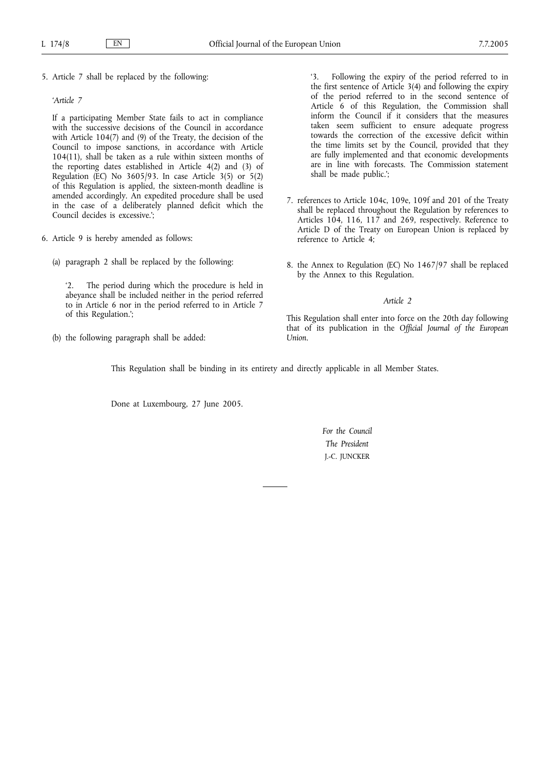5. Article 7 shall be replaced by the following:

## *'Article 7*

If a participating Member State fails to act in compliance with the successive decisions of the Council in accordance with Article 104(7) and (9) of the Treaty, the decision of the Council to impose sanctions, in accordance with Article 104(11), shall be taken as a rule within sixteen months of the reporting dates established in Article 4(2) and (3) of Regulation (EC) No  $3605/93$ . In case Article  $3(5)$  or  $5(2)$ of this Regulation is applied, the sixteen-month deadline is amended accordingly. An expedited procedure shall be used in the case of a deliberately planned deficit which the Council decides is excessive.';

- 6. Article 9 is hereby amended as follows:
	- (a) paragraph 2 shall be replaced by the following:

The period during which the procedure is held in abeyance shall be included neither in the period referred to in Article 6 nor in the period referred to in Article 7 of this Regulation.';

(b) the following paragraph shall be added:

'3. Following the expiry of the period referred to in the first sentence of Article 3(4) and following the expiry of the period referred to in the second sentence of Article 6 of this Regulation, the Commission shall inform the Council if it considers that the measures taken seem sufficient to ensure adequate progress towards the correction of the excessive deficit within the time limits set by the Council, provided that they are fully implemented and that economic developments are in line with forecasts. The Commission statement shall be made public.';

- 7. references to Article 104c, 109e, 109f and 201 of the Treaty shall be replaced throughout the Regulation by references to Articles 104, 116, 117 and 269, respectively. Reference to Article D of the Treaty on European Union is replaced by reference to Article 4;
- 8. the Annex to Regulation (EC) No 1467/97 shall be replaced by the Annex to this Regulation.

#### *Article 2*

This Regulation shall enter into force on the 20th day following that of its publication in the *Official Journal of the European Union*.

This Regulation shall be binding in its entirety and directly applicable in all Member States.

Done at Luxembourg, 27 June 2005.

*For the Council The President* J.-C. JUNCKER